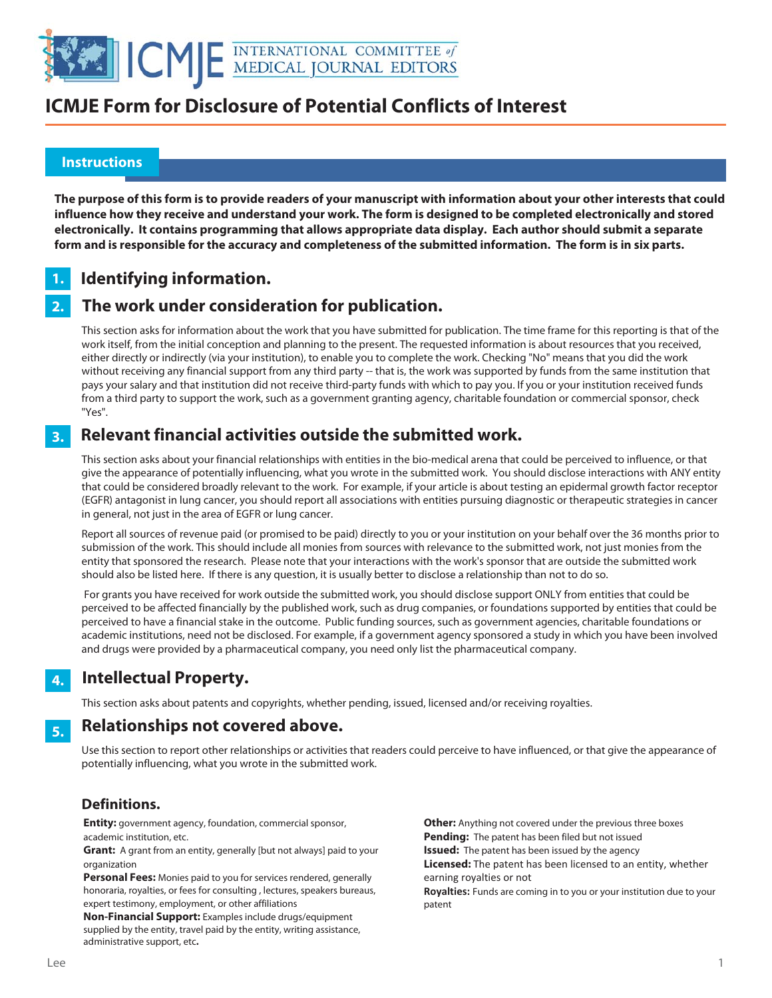

### **Instructions**

 

> **The purpose of this form is to provide readers of your manuscript with information about your other interests that could influence how they receive and understand your work. The form is designed to be completed electronically and stored electronically. It contains programming that allows appropriate data display. Each author should submit a separate form and is responsible for the accuracy and completeness of the submitted information. The form is in six parts.**

#### **Identifying information. 1.**

#### **The work under consideration for publication. 2.**

This section asks for information about the work that you have submitted for publication. The time frame for this reporting is that of the work itself, from the initial conception and planning to the present. The requested information is about resources that you received, either directly or indirectly (via your institution), to enable you to complete the work. Checking "No" means that you did the work without receiving any financial support from any third party -- that is, the work was supported by funds from the same institution that pays your salary and that institution did not receive third-party funds with which to pay you. If you or your institution received funds from a third party to support the work, such as a government granting agency, charitable foundation or commercial sponsor, check "Yes".

#### **Relevant financial activities outside the submitted work. 3.**

This section asks about your financial relationships with entities in the bio-medical arena that could be perceived to influence, or that give the appearance of potentially influencing, what you wrote in the submitted work. You should disclose interactions with ANY entity that could be considered broadly relevant to the work. For example, if your article is about testing an epidermal growth factor receptor (EGFR) antagonist in lung cancer, you should report all associations with entities pursuing diagnostic or therapeutic strategies in cancer in general, not just in the area of EGFR or lung cancer.

Report all sources of revenue paid (or promised to be paid) directly to you or your institution on your behalf over the 36 months prior to submission of the work. This should include all monies from sources with relevance to the submitted work, not just monies from the entity that sponsored the research. Please note that your interactions with the work's sponsor that are outside the submitted work should also be listed here. If there is any question, it is usually better to disclose a relationship than not to do so.

 For grants you have received for work outside the submitted work, you should disclose support ONLY from entities that could be perceived to be affected financially by the published work, such as drug companies, or foundations supported by entities that could be perceived to have a financial stake in the outcome. Public funding sources, such as government agencies, charitable foundations or academic institutions, need not be disclosed. For example, if a government agency sponsored a study in which you have been involved and drugs were provided by a pharmaceutical company, you need only list the pharmaceutical company.

#### **Intellectual Property. 4.**

This section asks about patents and copyrights, whether pending, issued, licensed and/or receiving royalties.

#### **Relationships not covered above. 5.**

Use this section to report other relationships or activities that readers could perceive to have influenced, or that give the appearance of potentially influencing, what you wrote in the submitted work.

### **Definitions.**

**Entity:** government agency, foundation, commercial sponsor, academic institution, etc.

**Grant:** A grant from an entity, generally [but not always] paid to your organization

**Personal Fees:** Monies paid to you for services rendered, generally honoraria, royalties, or fees for consulting , lectures, speakers bureaus, expert testimony, employment, or other affiliations

**Non-Financial Support:** Examples include drugs/equipment supplied by the entity, travel paid by the entity, writing assistance, administrative support, etc**.**

**Other:** Anything not covered under the previous three boxes **Pending:** The patent has been filed but not issued **Issued:** The patent has been issued by the agency **Licensed:** The patent has been licensed to an entity, whether earning royalties or not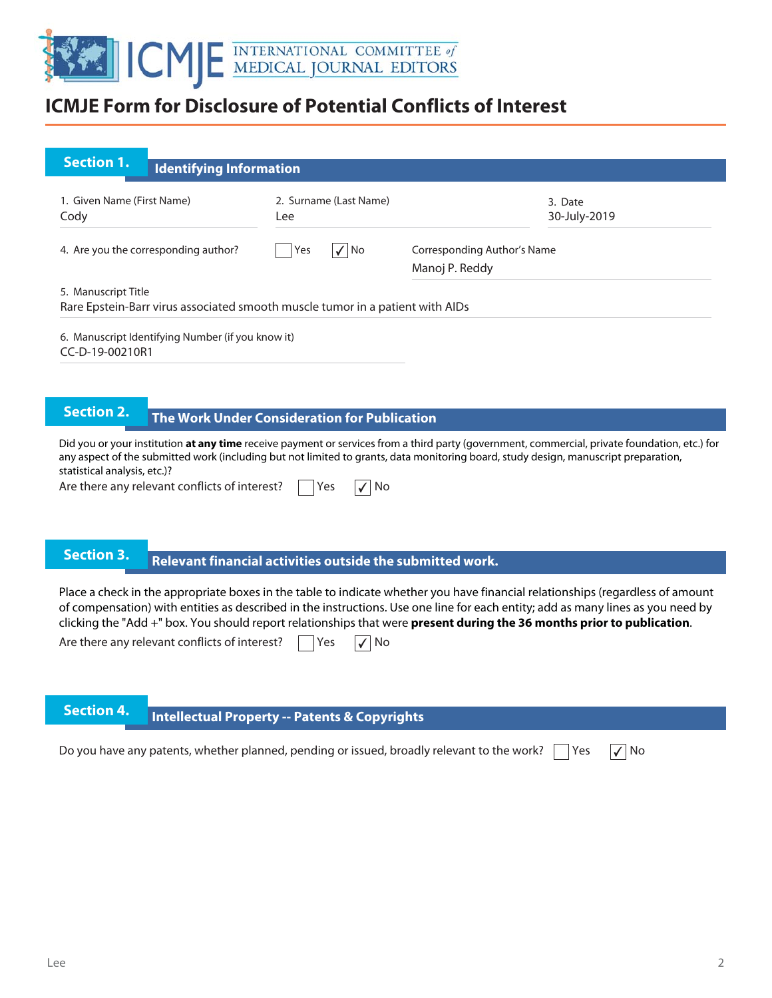

| <b>Section 1.</b><br>1. Given Name (First Name)<br>Cody | <b>Identifying Information</b>                    | 2. Surname (Last Name)<br>Lee                                                 | 3. Date<br>30-July-2019                       |
|---------------------------------------------------------|---------------------------------------------------|-------------------------------------------------------------------------------|-----------------------------------------------|
|                                                         | 4. Are you the corresponding author?              | $\sqrt{ NQ}$<br>Yes                                                           | Corresponding Author's Name<br>Manoj P. Reddy |
| 5. Manuscript Title                                     |                                                   | Rare Epstein-Barr virus associated smooth muscle tumor in a patient with AIDs |                                               |
| CC-D-19-00210R1                                         | 6. Manuscript Identifying Number (if you know it) |                                                                               |                                               |
| <b>Section 2.</b>                                       |                                                   | <b>The Work Under Consideration for Publication</b>                           |                                               |

Did you or your institution **at any time** receive payment or services from a third party (government, commercial, private foundation, etc.) for any aspect of the submitted work (including but not limited to grants, data monitoring board, study design, manuscript preparation, statistical analysis, etc.)?

| Are there any relevant conflicts of interest? |  |  | Yes | $\sqrt{\ }$ No |
|-----------------------------------------------|--|--|-----|----------------|
|                                               |  |  |     |                |

# **Relevant financial activities outside the submitted work. Section 3. Relevant financial activities outset**

Place a check in the appropriate boxes in the table to indicate whether you have financial relationships (regardless of amount of compensation) with entities as described in the instructions. Use one line for each entity; add as many lines as you need by clicking the "Add +" box. You should report relationships that were **present during the 36 months prior to publication**.

Are there any relevant conflicts of interest?  $\Box$  Yes  $\Box$  No

# **Intellectual Property -- Patents & Copyrights**

| Do you have any patents, whether planned, pending or issued, broadly relevant to the work? $\Box$ Yes $\Box$ No |  |  |
|-----------------------------------------------------------------------------------------------------------------|--|--|
|                                                                                                                 |  |  |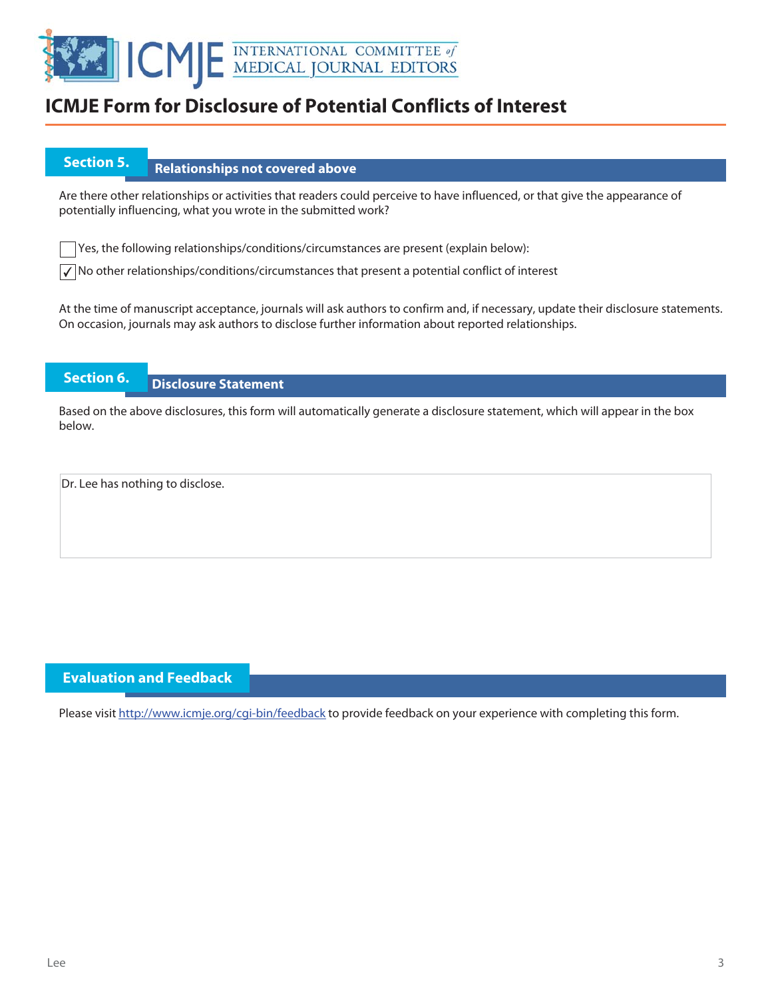

## **Section 5.** Relationships not covered above

Are there other relationships or activities that readers could perceive to have influenced, or that give the appearance of potentially influencing, what you wrote in the submitted work?

Yes, the following relationships/conditions/circumstances are present (explain below):

 $\sqrt{\ }$  No other relationships/conditions/circumstances that present a potential conflict of interest

At the time of manuscript acceptance, journals will ask authors to confirm and, if necessary, update their disclosure statements. On occasion, journals may ask authors to disclose further information about reported relationships.

### **Section 6. Disclosure Statement**

Based on the above disclosures, this form will automatically generate a disclosure statement, which will appear in the box below.

Dr. Lee has nothing to disclose.

### **Evaluation and Feedback**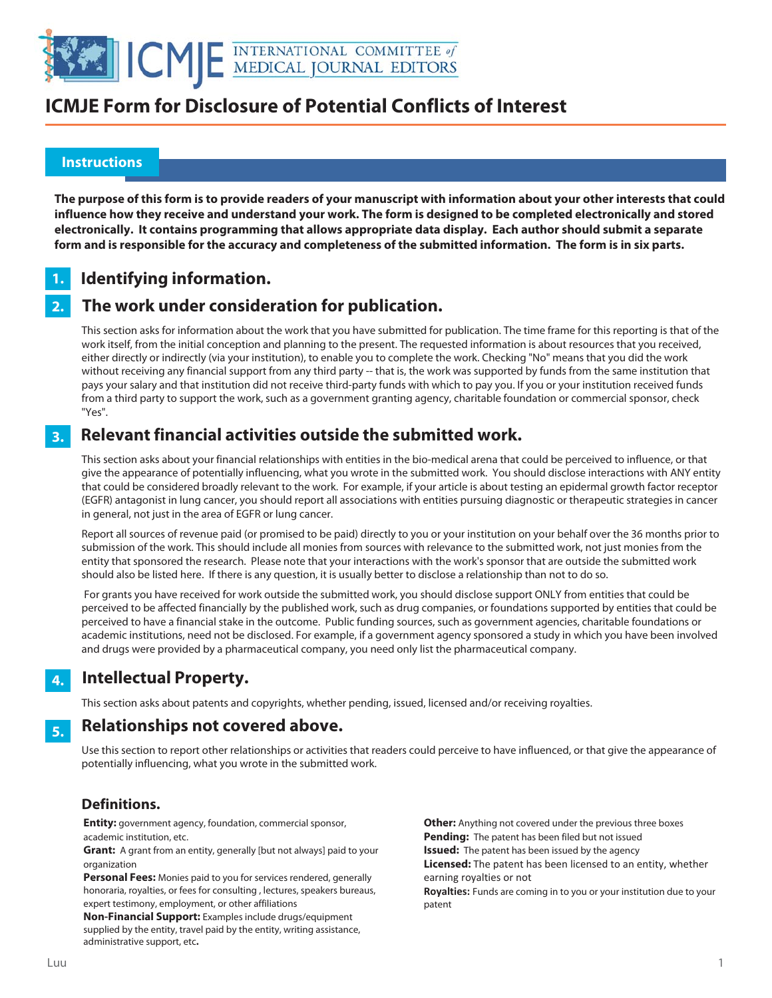

### **Instructions**

 

> **The purpose of this form is to provide readers of your manuscript with information about your other interests that could influence how they receive and understand your work. The form is designed to be completed electronically and stored electronically. It contains programming that allows appropriate data display. Each author should submit a separate form and is responsible for the accuracy and completeness of the submitted information. The form is in six parts.**

#### **Identifying information. 1.**

#### **The work under consideration for publication. 2.**

This section asks for information about the work that you have submitted for publication. The time frame for this reporting is that of the work itself, from the initial conception and planning to the present. The requested information is about resources that you received, either directly or indirectly (via your institution), to enable you to complete the work. Checking "No" means that you did the work without receiving any financial support from any third party -- that is, the work was supported by funds from the same institution that pays your salary and that institution did not receive third-party funds with which to pay you. If you or your institution received funds from a third party to support the work, such as a government granting agency, charitable foundation or commercial sponsor, check "Yes".

#### **Relevant financial activities outside the submitted work. 3.**

This section asks about your financial relationships with entities in the bio-medical arena that could be perceived to influence, or that give the appearance of potentially influencing, what you wrote in the submitted work. You should disclose interactions with ANY entity that could be considered broadly relevant to the work. For example, if your article is about testing an epidermal growth factor receptor (EGFR) antagonist in lung cancer, you should report all associations with entities pursuing diagnostic or therapeutic strategies in cancer in general, not just in the area of EGFR or lung cancer.

Report all sources of revenue paid (or promised to be paid) directly to you or your institution on your behalf over the 36 months prior to submission of the work. This should include all monies from sources with relevance to the submitted work, not just monies from the entity that sponsored the research. Please note that your interactions with the work's sponsor that are outside the submitted work should also be listed here. If there is any question, it is usually better to disclose a relationship than not to do so.

 For grants you have received for work outside the submitted work, you should disclose support ONLY from entities that could be perceived to be affected financially by the published work, such as drug companies, or foundations supported by entities that could be perceived to have a financial stake in the outcome. Public funding sources, such as government agencies, charitable foundations or academic institutions, need not be disclosed. For example, if a government agency sponsored a study in which you have been involved and drugs were provided by a pharmaceutical company, you need only list the pharmaceutical company.

#### **Intellectual Property. 4.**

This section asks about patents and copyrights, whether pending, issued, licensed and/or receiving royalties.

#### **Relationships not covered above. 5.**

Use this section to report other relationships or activities that readers could perceive to have influenced, or that give the appearance of potentially influencing, what you wrote in the submitted work.

### **Definitions.**

**Entity:** government agency, foundation, commercial sponsor, academic institution, etc.

**Grant:** A grant from an entity, generally [but not always] paid to your organization

**Personal Fees:** Monies paid to you for services rendered, generally honoraria, royalties, or fees for consulting , lectures, speakers bureaus, expert testimony, employment, or other affiliations

**Non-Financial Support:** Examples include drugs/equipment supplied by the entity, travel paid by the entity, writing assistance, administrative support, etc**.**

**Other:** Anything not covered under the previous three boxes **Pending:** The patent has been filed but not issued **Issued:** The patent has been issued by the agency **Licensed:** The patent has been licensed to an entity, whether earning royalties or not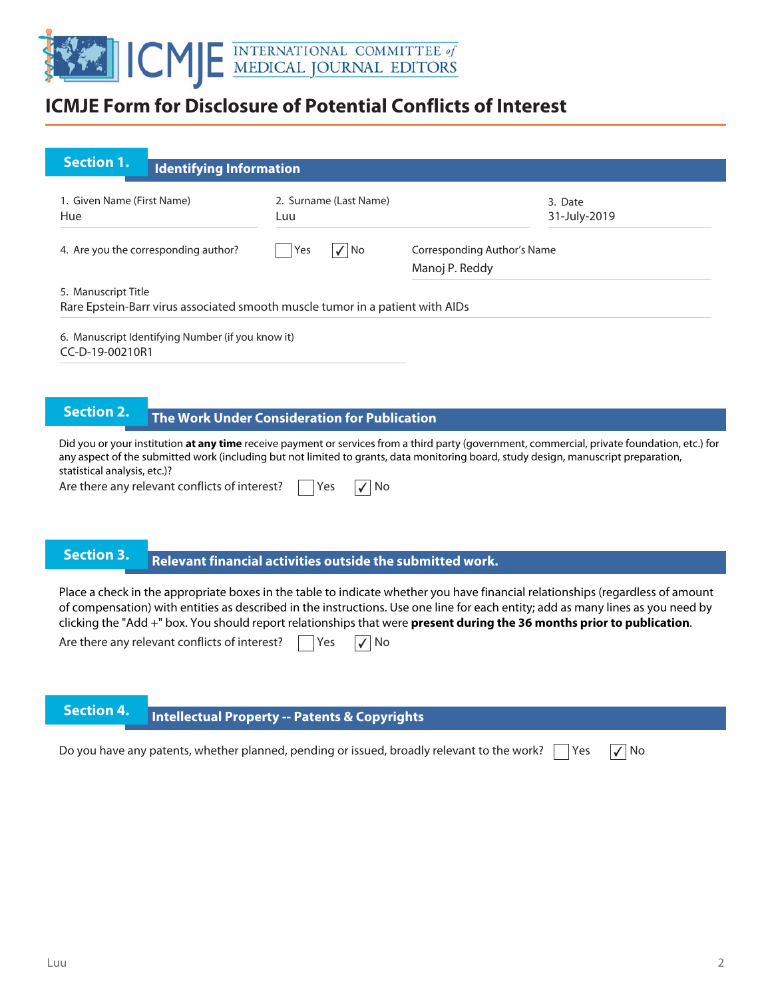

| <b>Section 1.</b><br>1. Given Name (First Name)<br>Hue | <b>Identifying Information</b>                    | 2. Surname (Last Name)<br>Luu                                                 | 3. Date<br>31-July-2019                       |
|--------------------------------------------------------|---------------------------------------------------|-------------------------------------------------------------------------------|-----------------------------------------------|
|                                                        | 4. Are you the corresponding author?              | $\sqrt{ NQ}$<br>Yes                                                           | Corresponding Author's Name<br>Manoj P. Reddy |
| 5. Manuscript Title                                    |                                                   | Rare Epstein-Barr virus associated smooth muscle tumor in a patient with AIDs |                                               |
| CC-D-19-00210R1                                        | 6. Manuscript Identifying Number (if you know it) |                                                                               |                                               |
| <b>Section 2.</b>                                      |                                                   | <b>The Work Under Consideration for Publication</b>                           |                                               |

Did you or your institution **at any time** receive payment or services from a third party (government, commercial, private foundation, etc.) for any aspect of the submitted work (including but not limited to grants, data monitoring board, study design, manuscript preparation, statistical analysis, etc.)?

Are there any relevant conflicts of interest?  $\Box$  Yes  $\Box$  No

| Relevant financial activities outside the submitted work, |
|-----------------------------------------------------------|
|                                                           |

Place a check in the appropriate boxes in the table to indicate whether you have financial relationships (regardless of amount of compensation) with entities as described in the instructions. Use one line for each entity; add as many lines as you need by clicking the "Add +" box. You should report relationships that were **present during the 36 months prior to publication**.

Are there any relevant conflicts of interest?  $\Box$  Yes  $\Box$  No

# **Intellectual Property -- Patents & Copyrights**

| Do you have any patents, whether planned, pending or issued, broadly relevant to the work? $\Box$ Yes $\Box$ No |  |  |
|-----------------------------------------------------------------------------------------------------------------|--|--|
|-----------------------------------------------------------------------------------------------------------------|--|--|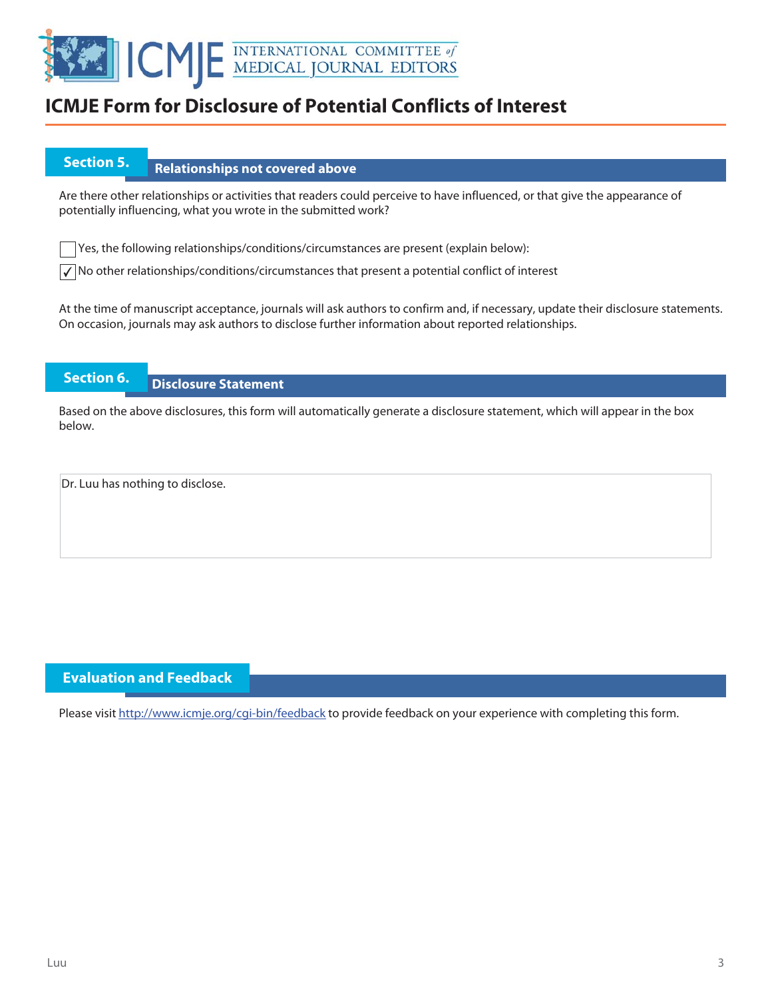

## **Section 5.** Relationships not covered above

Are there other relationships or activities that readers could perceive to have influenced, or that give the appearance of potentially influencing, what you wrote in the submitted work?

Yes, the following relationships/conditions/circumstances are present (explain below):

 $\sqrt{\ }$  No other relationships/conditions/circumstances that present a potential conflict of interest

At the time of manuscript acceptance, journals will ask authors to confirm and, if necessary, update their disclosure statements. On occasion, journals may ask authors to disclose further information about reported relationships.

### **Section 6. Disclosure Statement**

Based on the above disclosures, this form will automatically generate a disclosure statement, which will appear in the box below.

Dr. Luu has nothing to disclose.

### **Evaluation and Feedback**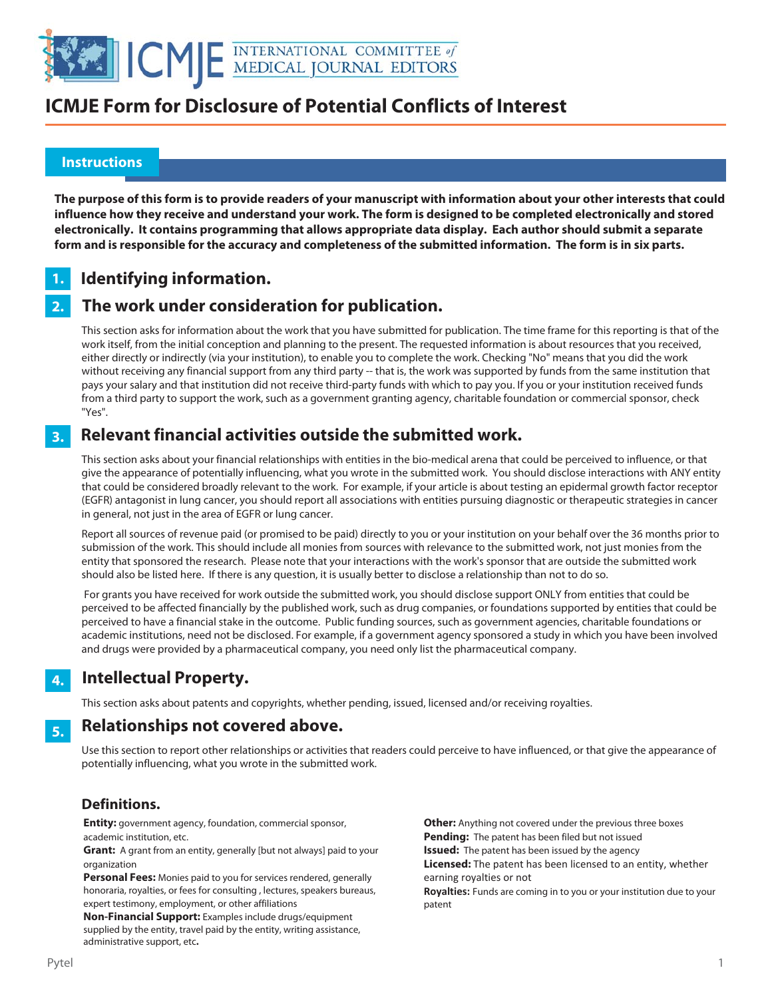

### **Instructions**

 

> **The purpose of this form is to provide readers of your manuscript with information about your other interests that could influence how they receive and understand your work. The form is designed to be completed electronically and stored electronically. It contains programming that allows appropriate data display. Each author should submit a separate form and is responsible for the accuracy and completeness of the submitted information. The form is in six parts.**

#### **Identifying information. 1.**

#### **The work under consideration for publication. 2.**

This section asks for information about the work that you have submitted for publication. The time frame for this reporting is that of the work itself, from the initial conception and planning to the present. The requested information is about resources that you received, either directly or indirectly (via your institution), to enable you to complete the work. Checking "No" means that you did the work without receiving any financial support from any third party -- that is, the work was supported by funds from the same institution that pays your salary and that institution did not receive third-party funds with which to pay you. If you or your institution received funds from a third party to support the work, such as a government granting agency, charitable foundation or commercial sponsor, check "Yes".

#### **Relevant financial activities outside the submitted work. 3.**

This section asks about your financial relationships with entities in the bio-medical arena that could be perceived to influence, or that give the appearance of potentially influencing, what you wrote in the submitted work. You should disclose interactions with ANY entity that could be considered broadly relevant to the work. For example, if your article is about testing an epidermal growth factor receptor (EGFR) antagonist in lung cancer, you should report all associations with entities pursuing diagnostic or therapeutic strategies in cancer in general, not just in the area of EGFR or lung cancer.

Report all sources of revenue paid (or promised to be paid) directly to you or your institution on your behalf over the 36 months prior to submission of the work. This should include all monies from sources with relevance to the submitted work, not just monies from the entity that sponsored the research. Please note that your interactions with the work's sponsor that are outside the submitted work should also be listed here. If there is any question, it is usually better to disclose a relationship than not to do so.

 For grants you have received for work outside the submitted work, you should disclose support ONLY from entities that could be perceived to be affected financially by the published work, such as drug companies, or foundations supported by entities that could be perceived to have a financial stake in the outcome. Public funding sources, such as government agencies, charitable foundations or academic institutions, need not be disclosed. For example, if a government agency sponsored a study in which you have been involved and drugs were provided by a pharmaceutical company, you need only list the pharmaceutical company.

#### **Intellectual Property. 4.**

This section asks about patents and copyrights, whether pending, issued, licensed and/or receiving royalties.

#### **Relationships not covered above. 5.**

Use this section to report other relationships or activities that readers could perceive to have influenced, or that give the appearance of potentially influencing, what you wrote in the submitted work.

### **Definitions.**

**Entity:** government agency, foundation, commercial sponsor, academic institution, etc.

**Grant:** A grant from an entity, generally [but not always] paid to your organization

**Personal Fees:** Monies paid to you for services rendered, generally honoraria, royalties, or fees for consulting , lectures, speakers bureaus, expert testimony, employment, or other affiliations

**Non-Financial Support:** Examples include drugs/equipment supplied by the entity, travel paid by the entity, writing assistance, administrative support, etc**.**

**Other:** Anything not covered under the previous three boxes **Pending:** The patent has been filed but not issued **Issued:** The patent has been issued by the agency **Licensed:** The patent has been licensed to an entity, whether earning royalties or not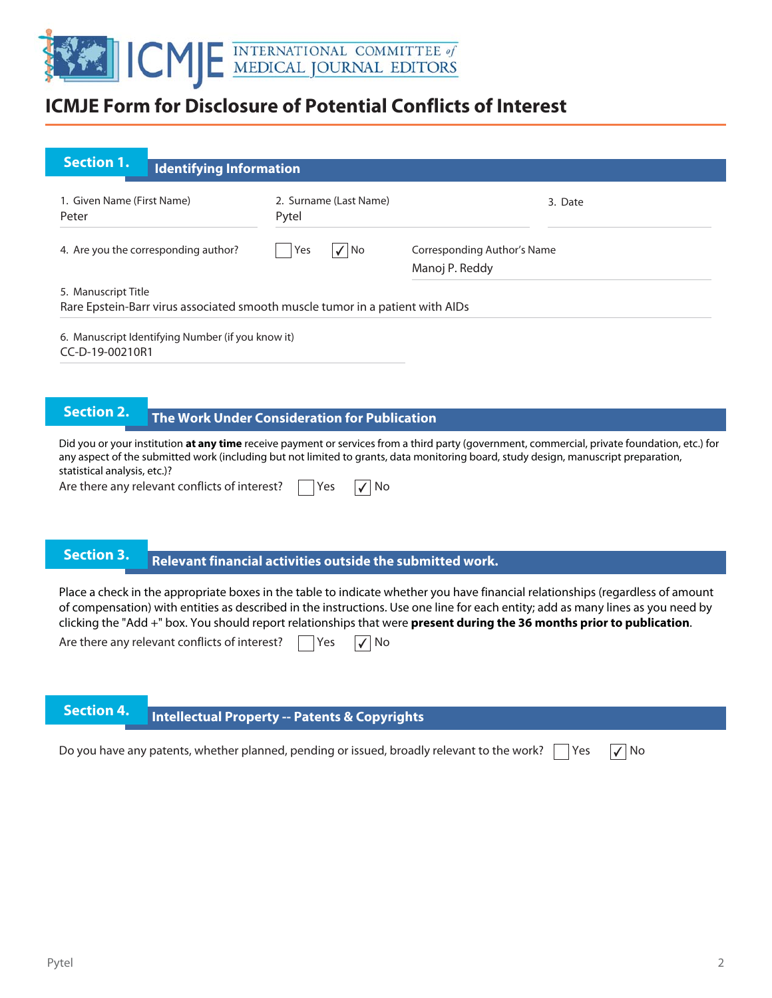

| <b>Section 1.</b>                    | <b>Identifying Information</b>                    |                                                                               |                                               |
|--------------------------------------|---------------------------------------------------|-------------------------------------------------------------------------------|-----------------------------------------------|
| 1. Given Name (First Name)<br>Peter  |                                                   | 2. Surname (Last Name)<br>Pytel                                               | 3. Date                                       |
| 4. Are you the corresponding author? |                                                   | Yes<br>  No<br>$\checkmark$                                                   | Corresponding Author's Name<br>Manoj P. Reddy |
| 5. Manuscript Title                  |                                                   | Rare Epstein-Barr virus associated smooth muscle tumor in a patient with AIDs |                                               |
| CC-D-19-00210R1                      | 6. Manuscript Identifying Number (if you know it) |                                                                               |                                               |

## **The Work Under Consideration for Publication**

Did you or your institution **at any time** receive payment or services from a third party (government, commercial, private foundation, etc.) for any aspect of the submitted work (including but not limited to grants, data monitoring board, study design, manuscript preparation, statistical analysis, etc.)?

| Are there any relevant conflicts of interest? |  | <b>Yes</b> |  | $\sqrt{ }$ No |
|-----------------------------------------------|--|------------|--|---------------|
|-----------------------------------------------|--|------------|--|---------------|

# **Relevant financial activities outside the submitted work. Section 3. Relevant financial activities outset**

Place a check in the appropriate boxes in the table to indicate whether you have financial relationships (regardless of amount of compensation) with entities as described in the instructions. Use one line for each entity; add as many lines as you need by clicking the "Add +" box. You should report relationships that were **present during the 36 months prior to publication**.

Are there any relevant conflicts of interest?  $\Box$  Yes  $\Box$  No

# **Intellectual Property -- Patents & Copyrights**

Do you have any patents, whether planned, pending or issued, broadly relevant to the work?  $\vert \ \vert$  Yes  $\vert \sqrt{\vert N}$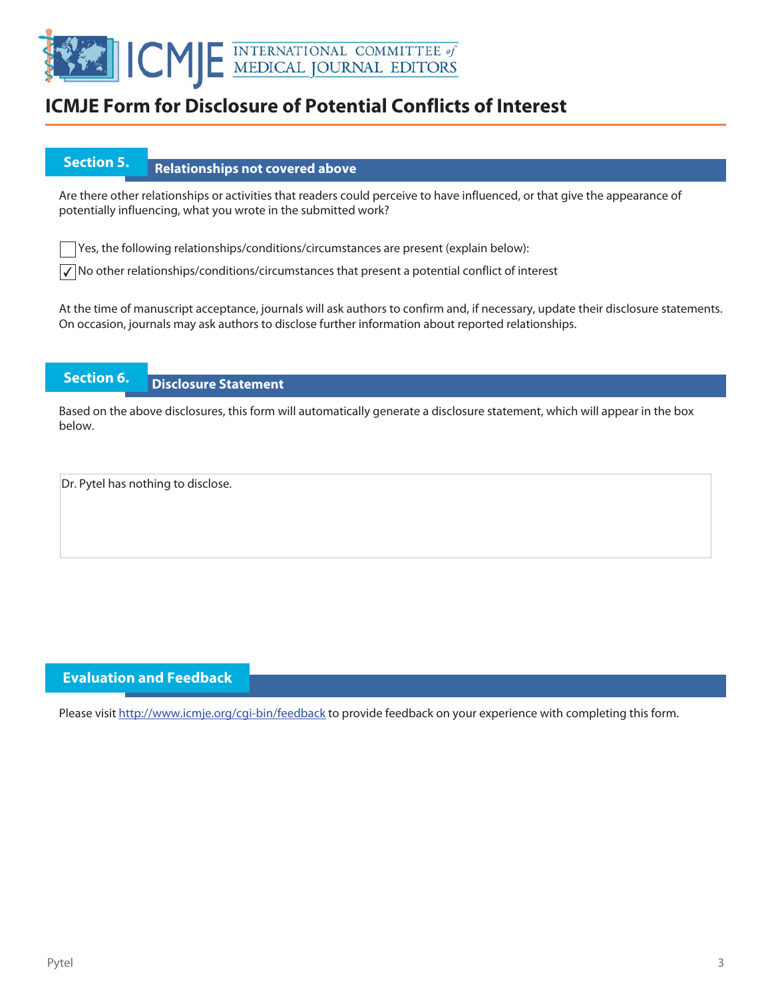

## **Section 5.** Relationships not covered above

Are there other relationships or activities that readers could perceive to have influenced, or that give the appearance of potentially influencing, what you wrote in the submitted work?

Yes, the following relationships/conditions/circumstances are present (explain below):

 $\sqrt{\ }$  No other relationships/conditions/circumstances that present a potential conflict of interest

At the time of manuscript acceptance, journals will ask authors to confirm and, if necessary, update their disclosure statements. On occasion, journals may ask authors to disclose further information about reported relationships.

### **Section 6. Disclosure Statement**

Based on the above disclosures, this form will automatically generate a disclosure statement, which will appear in the box below.

Dr. Pytel has nothing to disclose.

### **Evaluation and Feedback**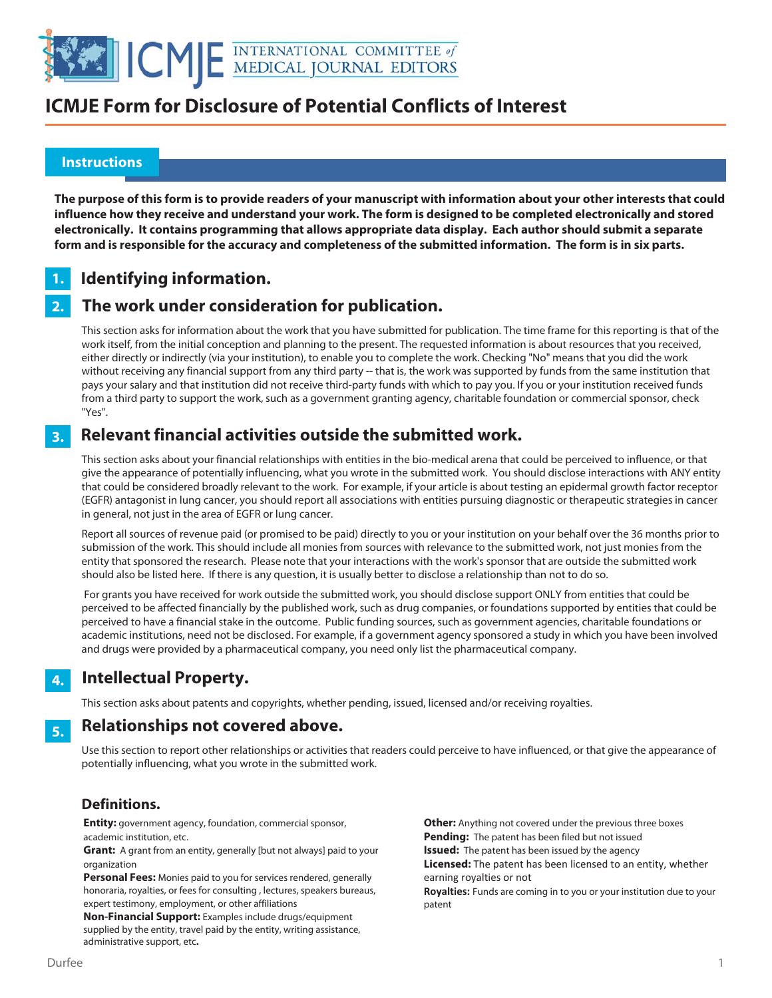

### **Instructions**

 

> **The purpose of this form is to provide readers of your manuscript with information about your other interests that could influence how they receive and understand your work. The form is designed to be completed electronically and stored electronically. It contains programming that allows appropriate data display. Each author should submit a separate form and is responsible for the accuracy and completeness of the submitted information. The form is in six parts.**

#### **Identifying information. 1.**

#### **The work under consideration for publication. 2.**

This section asks for information about the work that you have submitted for publication. The time frame for this reporting is that of the work itself, from the initial conception and planning to the present. The requested information is about resources that you received, either directly or indirectly (via your institution), to enable you to complete the work. Checking "No" means that you did the work without receiving any financial support from any third party -- that is, the work was supported by funds from the same institution that pays your salary and that institution did not receive third-party funds with which to pay you. If you or your institution received funds from a third party to support the work, such as a government granting agency, charitable foundation or commercial sponsor, check "Yes".

#### **Relevant financial activities outside the submitted work. 3.**

This section asks about your financial relationships with entities in the bio-medical arena that could be perceived to influence, or that give the appearance of potentially influencing, what you wrote in the submitted work. You should disclose interactions with ANY entity that could be considered broadly relevant to the work. For example, if your article is about testing an epidermal growth factor receptor (EGFR) antagonist in lung cancer, you should report all associations with entities pursuing diagnostic or therapeutic strategies in cancer in general, not just in the area of EGFR or lung cancer.

Report all sources of revenue paid (or promised to be paid) directly to you or your institution on your behalf over the 36 months prior to submission of the work. This should include all monies from sources with relevance to the submitted work, not just monies from the entity that sponsored the research. Please note that your interactions with the work's sponsor that are outside the submitted work should also be listed here. If there is any question, it is usually better to disclose a relationship than not to do so.

 For grants you have received for work outside the submitted work, you should disclose support ONLY from entities that could be perceived to be affected financially by the published work, such as drug companies, or foundations supported by entities that could be perceived to have a financial stake in the outcome. Public funding sources, such as government agencies, charitable foundations or academic institutions, need not be disclosed. For example, if a government agency sponsored a study in which you have been involved and drugs were provided by a pharmaceutical company, you need only list the pharmaceutical company.

#### **Intellectual Property. 4.**

This section asks about patents and copyrights, whether pending, issued, licensed and/or receiving royalties.

#### **Relationships not covered above. 5.**

Use this section to report other relationships or activities that readers could perceive to have influenced, or that give the appearance of potentially influencing, what you wrote in the submitted work.

### **Definitions.**

**Entity:** government agency, foundation, commercial sponsor, academic institution, etc.

**Grant:** A grant from an entity, generally [but not always] paid to your organization

**Personal Fees:** Monies paid to you for services rendered, generally honoraria, royalties, or fees for consulting , lectures, speakers bureaus, expert testimony, employment, or other affiliations

**Non-Financial Support:** Examples include drugs/equipment supplied by the entity, travel paid by the entity, writing assistance, administrative support, etc**.**

**Other:** Anything not covered under the previous three boxes **Pending:** The patent has been filed but not issued **Issued:** The patent has been issued by the agency **Licensed:** The patent has been licensed to an entity, whether earning royalties or not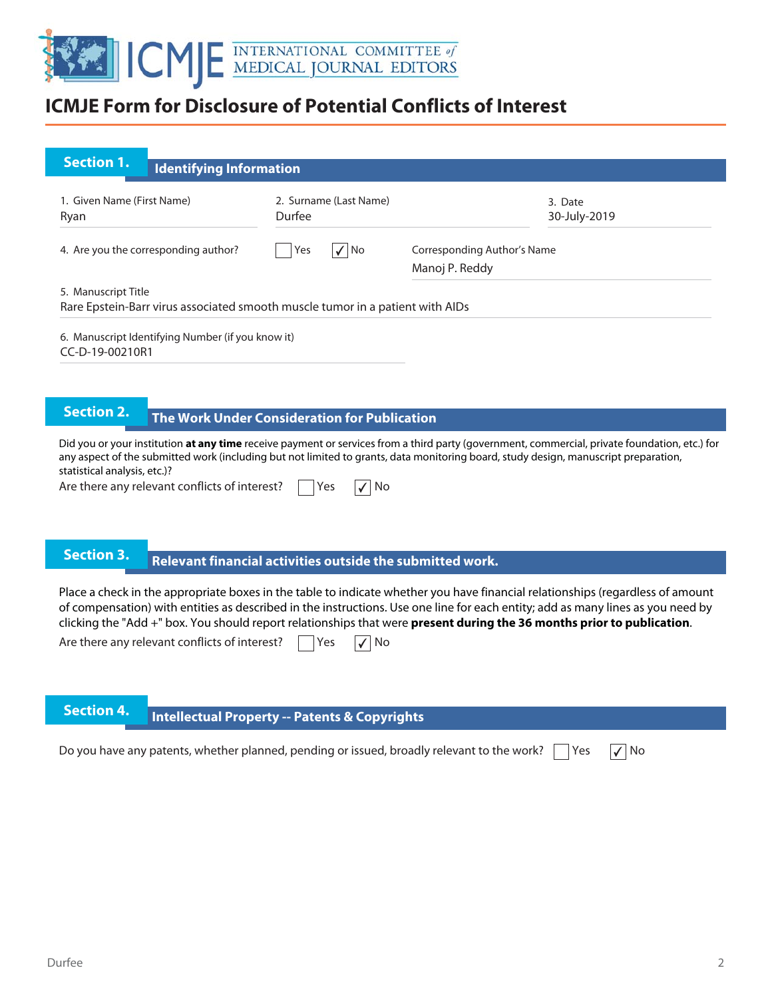

| <b>Section 1.</b><br>1. Given Name (First Name)<br>Ryan | <b>Identifying Information</b>                    | 2. Surname (Last Name)<br>Durfee                                              | 3. Date<br>30-July-2019                       |
|---------------------------------------------------------|---------------------------------------------------|-------------------------------------------------------------------------------|-----------------------------------------------|
|                                                         | 4. Are you the corresponding author?              | $\sqrt{ NQ}$<br>Yes                                                           | Corresponding Author's Name<br>Manoj P. Reddy |
| 5. Manuscript Title                                     |                                                   | Rare Epstein-Barr virus associated smooth muscle tumor in a patient with AIDs |                                               |
| CC-D-19-00210R1                                         | 6. Manuscript Identifying Number (if you know it) |                                                                               |                                               |
| <b>Section 2.</b>                                       |                                                   | <b>The Work Under Consideration for Publication</b>                           |                                               |

Did you or your institution **at any time** receive payment or services from a third party (government, commercial, private foundation, etc.) for any aspect of the submitted work (including but not limited to grants, data monitoring board, study design, manuscript preparation, statistical analysis, etc.)?

| Are there any relevant conflicts of interest? |  | <b>Yes</b> |  | $\sqrt{ }$ No |
|-----------------------------------------------|--|------------|--|---------------|
|-----------------------------------------------|--|------------|--|---------------|

# **Relevant financial activities outside the submitted work. Section 3. Relevant financial activities outset**

Place a check in the appropriate boxes in the table to indicate whether you have financial relationships (regardless of amount of compensation) with entities as described in the instructions. Use one line for each entity; add as many lines as you need by clicking the "Add +" box. You should report relationships that were **present during the 36 months prior to publication**.

Are there any relevant conflicts of interest?  $\Box$  Yes  $\Box$  No

# **Intellectual Property -- Patents & Copyrights**

Do you have any patents, whether planned, pending or issued, broadly relevant to the work?  $\vert \ \vert$  Yes  $\vert \sqrt{\vert N}$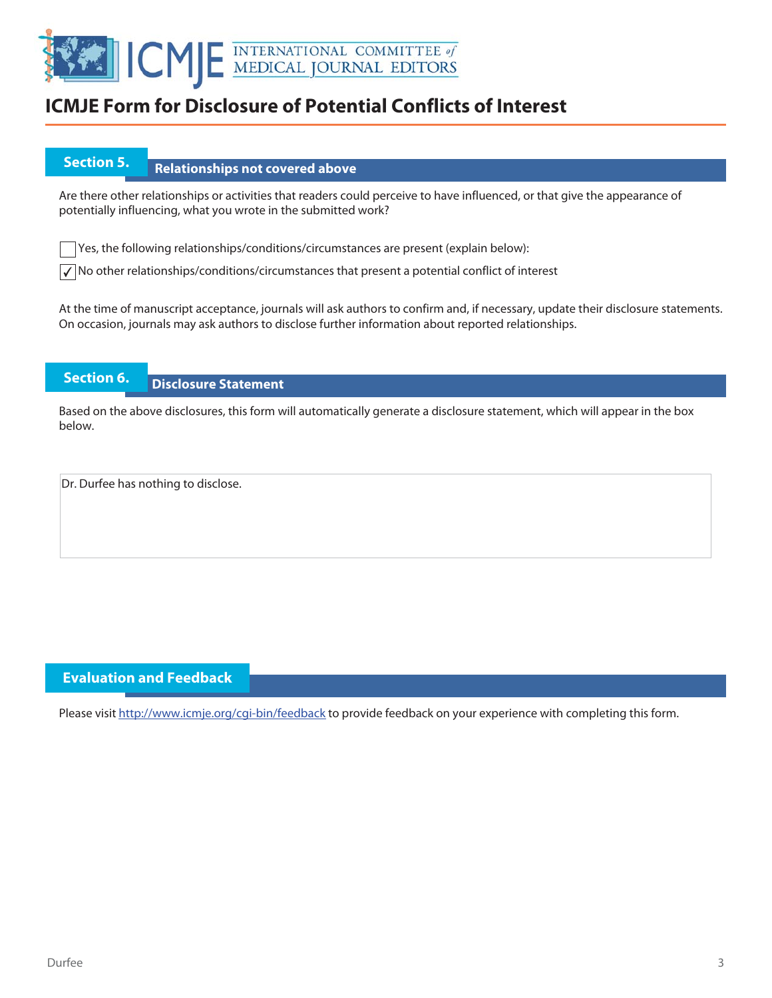

## **Section 5.** Relationships not covered above

Are there other relationships or activities that readers could perceive to have influenced, or that give the appearance of potentially influencing, what you wrote in the submitted work?

Yes, the following relationships/conditions/circumstances are present (explain below):

 $\sqrt{\ }$  No other relationships/conditions/circumstances that present a potential conflict of interest

At the time of manuscript acceptance, journals will ask authors to confirm and, if necessary, update their disclosure statements. On occasion, journals may ask authors to disclose further information about reported relationships.

### **Section 6. Disclosure Statement**

Based on the above disclosures, this form will automatically generate a disclosure statement, which will appear in the box below.

Dr. Durfee has nothing to disclose.

### **Evaluation and Feedback**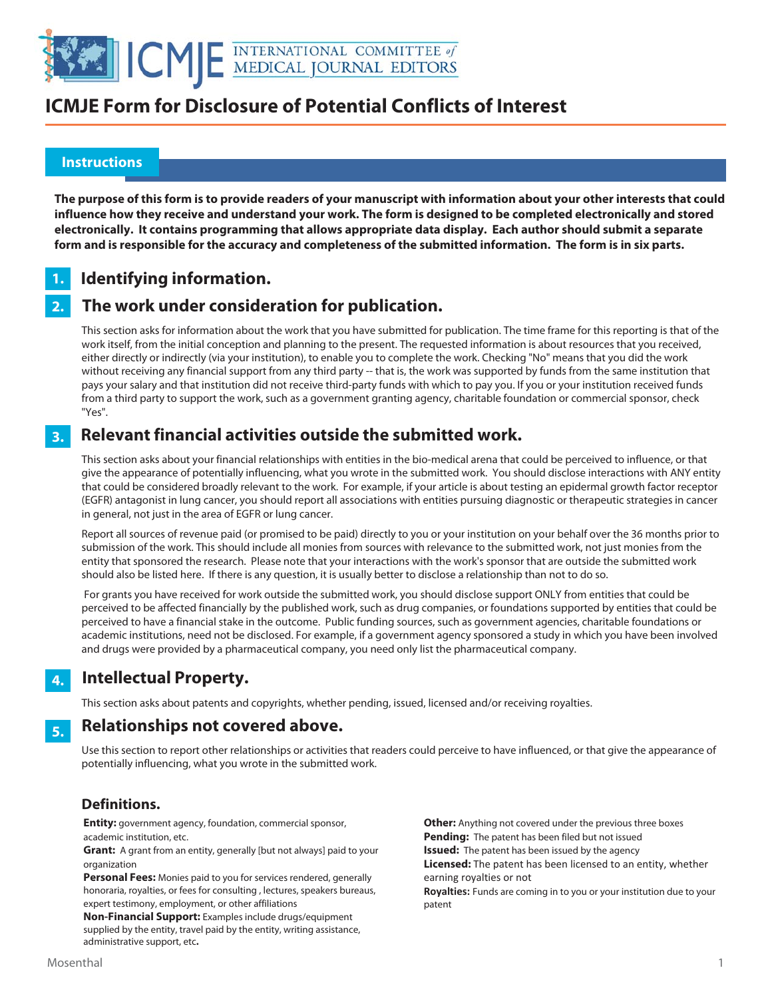

### **Instructions**

 

> **The purpose of this form is to provide readers of your manuscript with information about your other interests that could influence how they receive and understand your work. The form is designed to be completed electronically and stored electronically. It contains programming that allows appropriate data display. Each author should submit a separate form and is responsible for the accuracy and completeness of the submitted information. The form is in six parts.**

#### **Identifying information. 1.**

#### **The work under consideration for publication. 2.**

This section asks for information about the work that you have submitted for publication. The time frame for this reporting is that of the work itself, from the initial conception and planning to the present. The requested information is about resources that you received, either directly or indirectly (via your institution), to enable you to complete the work. Checking "No" means that you did the work without receiving any financial support from any third party -- that is, the work was supported by funds from the same institution that pays your salary and that institution did not receive third-party funds with which to pay you. If you or your institution received funds from a third party to support the work, such as a government granting agency, charitable foundation or commercial sponsor, check "Yes".

#### **Relevant financial activities outside the submitted work. 3.**

This section asks about your financial relationships with entities in the bio-medical arena that could be perceived to influence, or that give the appearance of potentially influencing, what you wrote in the submitted work. You should disclose interactions with ANY entity that could be considered broadly relevant to the work. For example, if your article is about testing an epidermal growth factor receptor (EGFR) antagonist in lung cancer, you should report all associations with entities pursuing diagnostic or therapeutic strategies in cancer in general, not just in the area of EGFR or lung cancer.

Report all sources of revenue paid (or promised to be paid) directly to you or your institution on your behalf over the 36 months prior to submission of the work. This should include all monies from sources with relevance to the submitted work, not just monies from the entity that sponsored the research. Please note that your interactions with the work's sponsor that are outside the submitted work should also be listed here. If there is any question, it is usually better to disclose a relationship than not to do so.

 For grants you have received for work outside the submitted work, you should disclose support ONLY from entities that could be perceived to be affected financially by the published work, such as drug companies, or foundations supported by entities that could be perceived to have a financial stake in the outcome. Public funding sources, such as government agencies, charitable foundations or academic institutions, need not be disclosed. For example, if a government agency sponsored a study in which you have been involved and drugs were provided by a pharmaceutical company, you need only list the pharmaceutical company.

#### **Intellectual Property. 4.**

This section asks about patents and copyrights, whether pending, issued, licensed and/or receiving royalties.

#### **Relationships not covered above. 5.**

Use this section to report other relationships or activities that readers could perceive to have influenced, or that give the appearance of potentially influencing, what you wrote in the submitted work.

### **Definitions.**

**Entity:** government agency, foundation, commercial sponsor, academic institution, etc.

**Grant:** A grant from an entity, generally [but not always] paid to your organization

**Personal Fees:** Monies paid to you for services rendered, generally honoraria, royalties, or fees for consulting , lectures, speakers bureaus, expert testimony, employment, or other affiliations

**Non-Financial Support:** Examples include drugs/equipment supplied by the entity, travel paid by the entity, writing assistance, administrative support, etc**.**

**Other:** Anything not covered under the previous three boxes **Pending:** The patent has been filed but not issued **Issued:** The patent has been issued by the agency **Licensed:** The patent has been licensed to an entity, whether earning royalties or not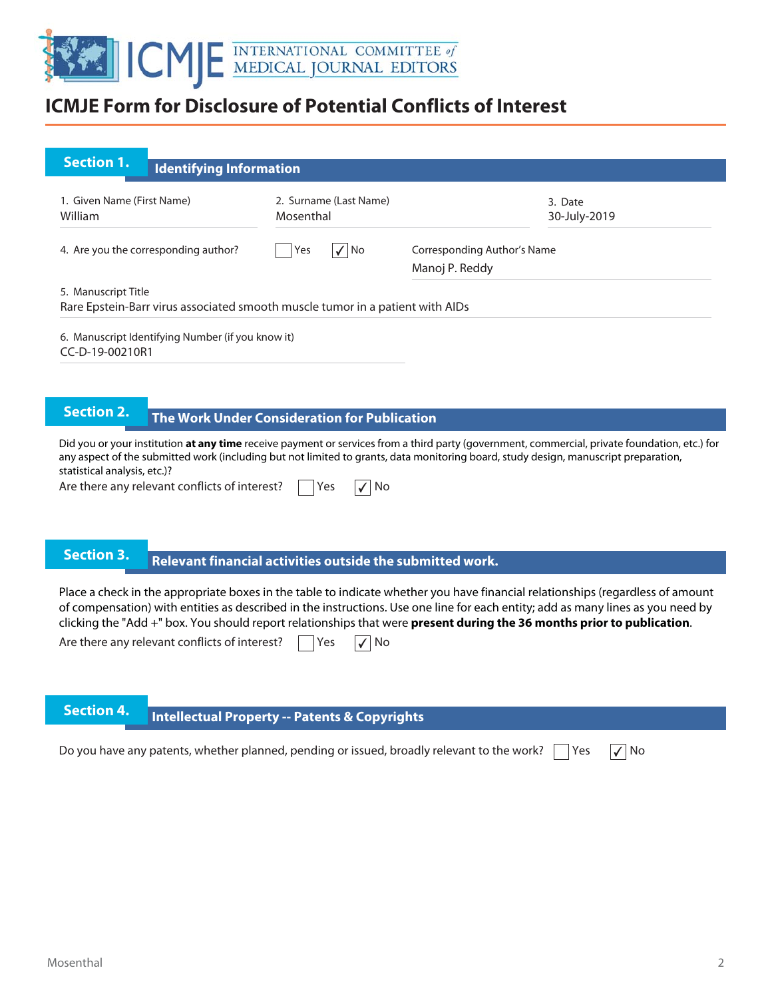

| <b>Section 1.</b>                     |                                                   |                                                                               |                                                                                                                                     |                                                                                                                                               |
|---------------------------------------|---------------------------------------------------|-------------------------------------------------------------------------------|-------------------------------------------------------------------------------------------------------------------------------------|-----------------------------------------------------------------------------------------------------------------------------------------------|
|                                       | <b>Identifying Information</b>                    |                                                                               |                                                                                                                                     |                                                                                                                                               |
| 1. Given Name (First Name)<br>William |                                                   | 2. Surname (Last Name)<br>Mosenthal                                           |                                                                                                                                     | 3. Date<br>30-July-2019                                                                                                                       |
| 4. Are you the corresponding author?  |                                                   | Yes<br>$\sqrt{ N_{0}}$                                                        | Corresponding Author's Name                                                                                                         |                                                                                                                                               |
|                                       |                                                   |                                                                               | Manoj P. Reddy                                                                                                                      |                                                                                                                                               |
| 5. Manuscript Title                   |                                                   | Rare Epstein-Barr virus associated smooth muscle tumor in a patient with AIDs |                                                                                                                                     |                                                                                                                                               |
| CC-D-19-00210R1                       | 6. Manuscript Identifying Number (if you know it) |                                                                               |                                                                                                                                     |                                                                                                                                               |
|                                       |                                                   |                                                                               |                                                                                                                                     |                                                                                                                                               |
| <b>Section 2.</b>                     |                                                   | <b>The Work Under Consideration for Publication</b>                           |                                                                                                                                     |                                                                                                                                               |
| statistical analysis, etc.)?          |                                                   |                                                                               | any aspect of the submitted work (including but not limited to grants, data monitoring board, study design, manuscript preparation, | Did you or your institution at any time receive payment or services from a third party (government, commercial, private foundation, etc.) for |
|                                       | Are there any relevant conflicts of interest?     | Yes<br>No<br>$\checkmark$                                                     |                                                                                                                                     |                                                                                                                                               |

# **Relevant financial activities outside the submitted work. Section 3. Relevant financial activities outset**

Place a check in the appropriate boxes in the table to indicate whether you have financial relationships (regardless of amount of compensation) with entities as described in the instructions. Use one line for each entity; add as many lines as you need by clicking the "Add +" box. You should report relationships that were **present during the 36 months prior to publication**.

| Are there any relevant conflicts of interest? | <b>Yes</b> | $\sqrt{}$ No |
|-----------------------------------------------|------------|--------------|
|                                               |            |              |

# **Intellectual Property -- Patents & Copyrights**

| Do you have any patents, whether planned, pending or issued, broadly relevant to the work? $\Box$ Yes $\Box$ No |  |
|-----------------------------------------------------------------------------------------------------------------|--|
|                                                                                                                 |  |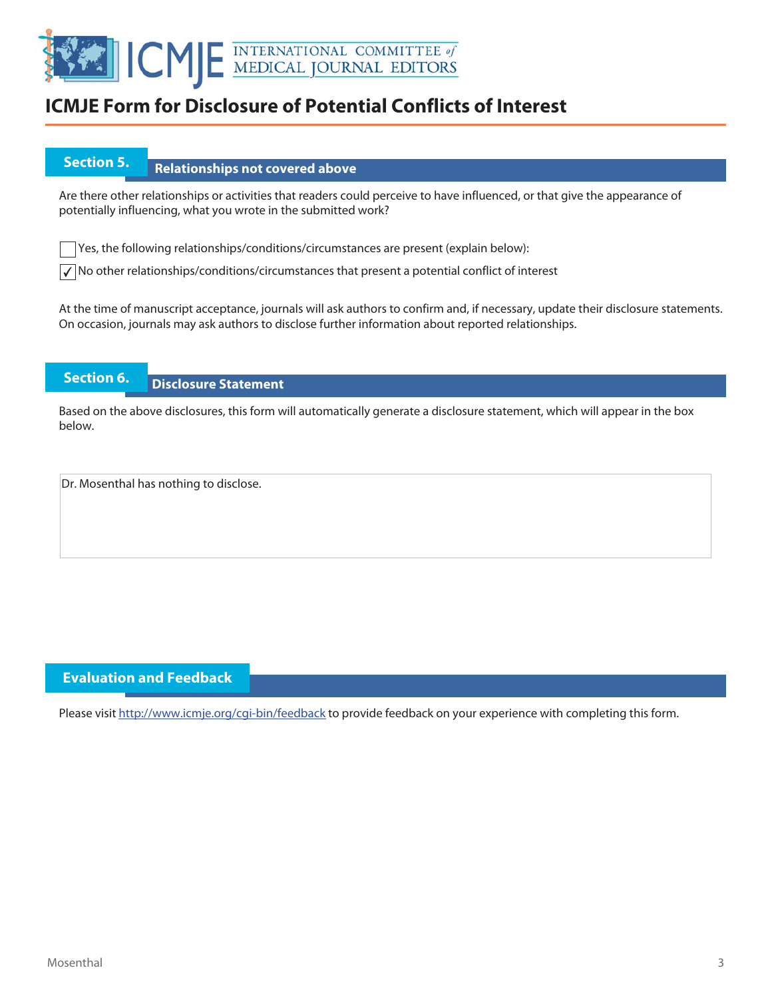

## **Section 5.** Relationships not covered above

Are there other relationships or activities that readers could perceive to have influenced, or that give the appearance of potentially influencing, what you wrote in the submitted work?

Yes, the following relationships/conditions/circumstances are present (explain below):

 $\sqrt{\ }$  No other relationships/conditions/circumstances that present a potential conflict of interest

At the time of manuscript acceptance, journals will ask authors to confirm and, if necessary, update their disclosure statements. On occasion, journals may ask authors to disclose further information about reported relationships.

### **Section 6. Disclosure Statement**

Based on the above disclosures, this form will automatically generate a disclosure statement, which will appear in the box below.

Dr. Mosenthal has nothing to disclose.

### **Evaluation and Feedback**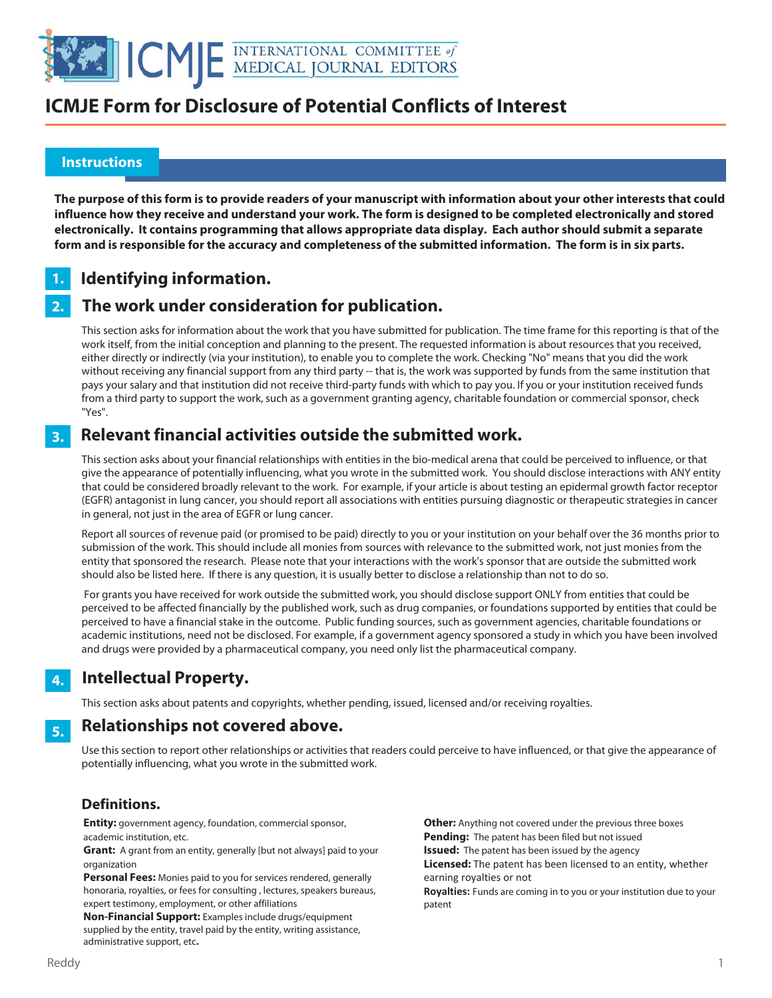

### **Instructions**

 

> **The purpose of this form is to provide readers of your manuscript with information about your other interests that could influence how they receive and understand your work. The form is designed to be completed electronically and stored electronically. It contains programming that allows appropriate data display. Each author should submit a separate form and is responsible for the accuracy and completeness of the submitted information. The form is in six parts.**

#### **Identifying information. 1.**

#### **The work under consideration for publication. 2.**

This section asks for information about the work that you have submitted for publication. The time frame for this reporting is that of the work itself, from the initial conception and planning to the present. The requested information is about resources that you received, either directly or indirectly (via your institution), to enable you to complete the work. Checking "No" means that you did the work without receiving any financial support from any third party -- that is, the work was supported by funds from the same institution that pays your salary and that institution did not receive third-party funds with which to pay you. If you or your institution received funds from a third party to support the work, such as a government granting agency, charitable foundation or commercial sponsor, check "Yes".

#### **Relevant financial activities outside the submitted work. 3.**

This section asks about your financial relationships with entities in the bio-medical arena that could be perceived to influence, or that give the appearance of potentially influencing, what you wrote in the submitted work. You should disclose interactions with ANY entity that could be considered broadly relevant to the work. For example, if your article is about testing an epidermal growth factor receptor (EGFR) antagonist in lung cancer, you should report all associations with entities pursuing diagnostic or therapeutic strategies in cancer in general, not just in the area of EGFR or lung cancer.

Report all sources of revenue paid (or promised to be paid) directly to you or your institution on your behalf over the 36 months prior to submission of the work. This should include all monies from sources with relevance to the submitted work, not just monies from the entity that sponsored the research. Please note that your interactions with the work's sponsor that are outside the submitted work should also be listed here. If there is any question, it is usually better to disclose a relationship than not to do so.

 For grants you have received for work outside the submitted work, you should disclose support ONLY from entities that could be perceived to be affected financially by the published work, such as drug companies, or foundations supported by entities that could be perceived to have a financial stake in the outcome. Public funding sources, such as government agencies, charitable foundations or academic institutions, need not be disclosed. For example, if a government agency sponsored a study in which you have been involved and drugs were provided by a pharmaceutical company, you need only list the pharmaceutical company.

#### **Intellectual Property. 4.**

This section asks about patents and copyrights, whether pending, issued, licensed and/or receiving royalties.

#### **Relationships not covered above. 5.**

Use this section to report other relationships or activities that readers could perceive to have influenced, or that give the appearance of potentially influencing, what you wrote in the submitted work.

### **Definitions.**

**Entity:** government agency, foundation, commercial sponsor, academic institution, etc.

**Grant:** A grant from an entity, generally [but not always] paid to your organization

**Personal Fees:** Monies paid to you for services rendered, generally honoraria, royalties, or fees for consulting , lectures, speakers bureaus, expert testimony, employment, or other affiliations

**Non-Financial Support:** Examples include drugs/equipment supplied by the entity, travel paid by the entity, writing assistance, administrative support, etc**.**

**Other:** Anything not covered under the previous three boxes **Pending:** The patent has been filed but not issued **Issued:** The patent has been issued by the agency **Licensed:** The patent has been licensed to an entity, whether earning royalties or not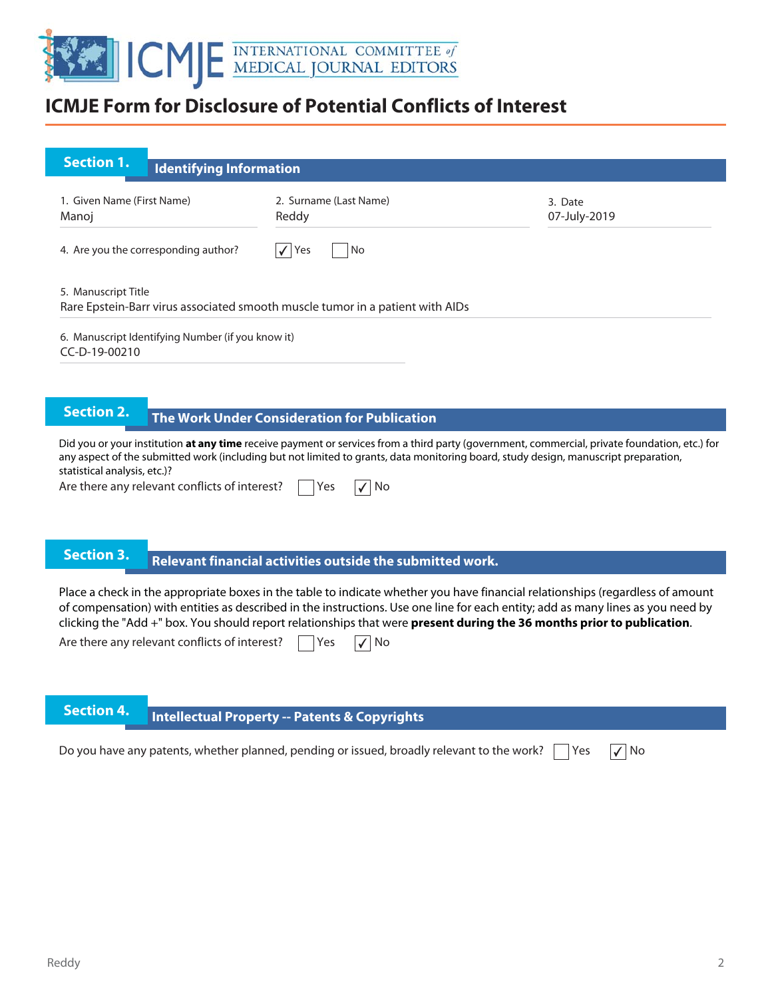

| <b>Section 1.</b>                   | <b>Identifying Information</b>                    |                                                                               |                         |
|-------------------------------------|---------------------------------------------------|-------------------------------------------------------------------------------|-------------------------|
| 1. Given Name (First Name)<br>Manoj |                                                   | 2. Surname (Last Name)<br>Reddy                                               | 3. Date<br>07-July-2019 |
|                                     | 4. Are you the corresponding author?              | $\sqrt{\vert \gamma_{\rm{es}}\vert}$<br>No                                    |                         |
| 5. Manuscript Title                 |                                                   | Rare Epstein-Barr virus associated smooth muscle tumor in a patient with AIDs |                         |
| CC-D-19-00210                       | 6. Manuscript Identifying Number (if you know it) |                                                                               |                         |

### **The Work Under Consideration for Publication**

Did you or your institution **at any time** receive payment or services from a third party (government, commercial, private foundation, etc.) for any aspect of the submitted work (including but not limited to grants, data monitoring board, study design, manuscript preparation, statistical analysis, etc.)?

| Are there any relevant conflicts of interest? |  | <b>Yes</b> |  | $\sqrt{ }$ No |
|-----------------------------------------------|--|------------|--|---------------|
|-----------------------------------------------|--|------------|--|---------------|

# **Relevant financial activities outside the submitted work. Section 3. Relevant financial activities outset**

Place a check in the appropriate boxes in the table to indicate whether you have financial relationships (regardless of amount of compensation) with entities as described in the instructions. Use one line for each entity; add as many lines as you need by clicking the "Add +" box. You should report relationships that were **present during the 36 months prior to publication**.

Are there any relevant conflicts of interest?  $\Box$  Yes  $\Box$  No

# **Intellectual Property -- Patents & Copyrights**

Do you have any patents, whether planned, pending or issued, broadly relevant to the work?  $\vert \ \vert$  Yes  $\vert \sqrt{\vert N}$